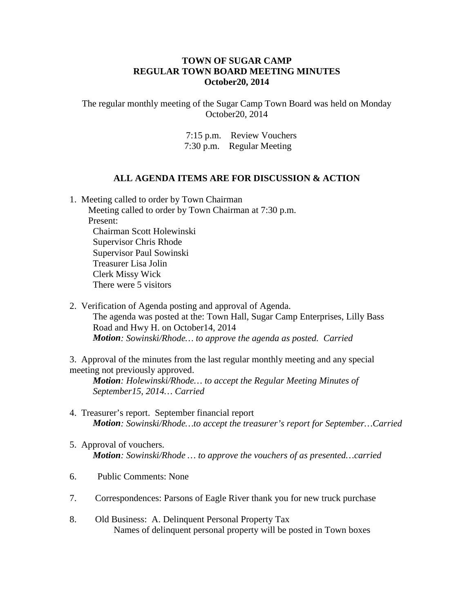## **TOWN OF SUGAR CAMP REGULAR TOWN BOARD MEETING MINUTES October20, 2014**

The regular monthly meeting of the Sugar Camp Town Board was held on Monday October20, 2014

> 7:15 p.m. Review Vouchers 7:30 p.m. Regular Meeting

## **ALL AGENDA ITEMS ARE FOR DISCUSSION & ACTION**

1. Meeting called to order by Town Chairman Meeting called to order by Town Chairman at 7:30 p.m.

 Present: Chairman Scott Holewinski Supervisor Chris Rhode Supervisor Paul Sowinski Treasurer Lisa Jolin Clerk Missy Wick There were 5 visitors

2. Verification of Agenda posting and approval of Agenda. The agenda was posted at the: Town Hall, Sugar Camp Enterprises, Lilly Bass Road and Hwy H. on October14, 2014 *Motion: Sowinski/Rhode… to approve the agenda as posted. Carried*

3. Approval of the minutes from the last regular monthly meeting and any special meeting not previously approved.

*Motion: Holewinski/Rhode… to accept the Regular Meeting Minutes of September15, 2014… Carried*

- 4. Treasurer's report. September financial report *Motion: Sowinski/Rhode…to accept the treasurer's report for September…Carried*
- 5. Approval of vouchers. *Motion: Sowinski/Rhode … to approve the vouchers of as presented…carried*
- 6. Public Comments: None
- 7. Correspondences: Parsons of Eagle River thank you for new truck purchase
- 8. Old Business: A. Delinquent Personal Property Tax Names of delinquent personal property will be posted in Town boxes